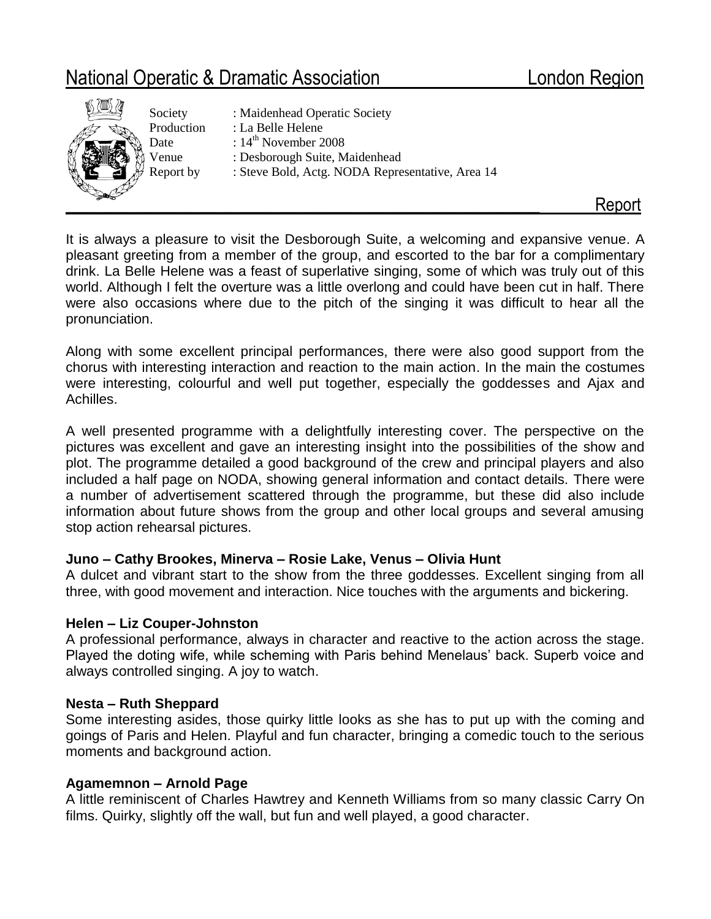# National Operatic & Dramatic Association **London Region**



Society : Maidenhead Operatic Society Production : La Belle Helene Date : 14<sup>th</sup> November 2008 Venue : Desborough Suite, Maidenhead Report by : Steve Bold, Actg. NODA Representative, Area 14

It is always a pleasure to visit the Desborough Suite, a welcoming and expansive venue. A pleasant greeting from a member of the group, and escorted to the bar for a complimentary drink. La Belle Helene was a feast of superlative singing, some of which was truly out of this world. Although I felt the overture was a little overlong and could have been cut in half. There were also occasions where due to the pitch of the singing it was difficult to hear all the pronunciation.

Along with some excellent principal performances, there were also good support from the chorus with interesting interaction and reaction to the main action. In the main the costumes were interesting, colourful and well put together, especially the goddesses and Ajax and Achilles.

A well presented programme with a delightfully interesting cover. The perspective on the pictures was excellent and gave an interesting insight into the possibilities of the show and plot. The programme detailed a good background of the crew and principal players and also included a half page on NODA, showing general information and contact details. There were a number of advertisement scattered through the programme, but these did also include information about future shows from the group and other local groups and several amusing stop action rehearsal pictures.

# **Juno – Cathy Brookes, Minerva – Rosie Lake, Venus – Olivia Hunt**

A dulcet and vibrant start to the show from the three goddesses. Excellent singing from all three, with good movement and interaction. Nice touches with the arguments and bickering.

## **Helen – Liz Couper-Johnston**

A professional performance, always in character and reactive to the action across the stage. Played the doting wife, while scheming with Paris behind Menelaus' back. Superb voice and always controlled singing. A joy to watch.

## **Nesta – Ruth Sheppard**

Some interesting asides, those quirky little looks as she has to put up with the coming and goings of Paris and Helen. Playful and fun character, bringing a comedic touch to the serious moments and background action.

# **Agamemnon – Arnold Page**

A little reminiscent of Charles Hawtrey and Kenneth Williams from so many classic Carry On films. Quirky, slightly off the wall, but fun and well played, a good character.